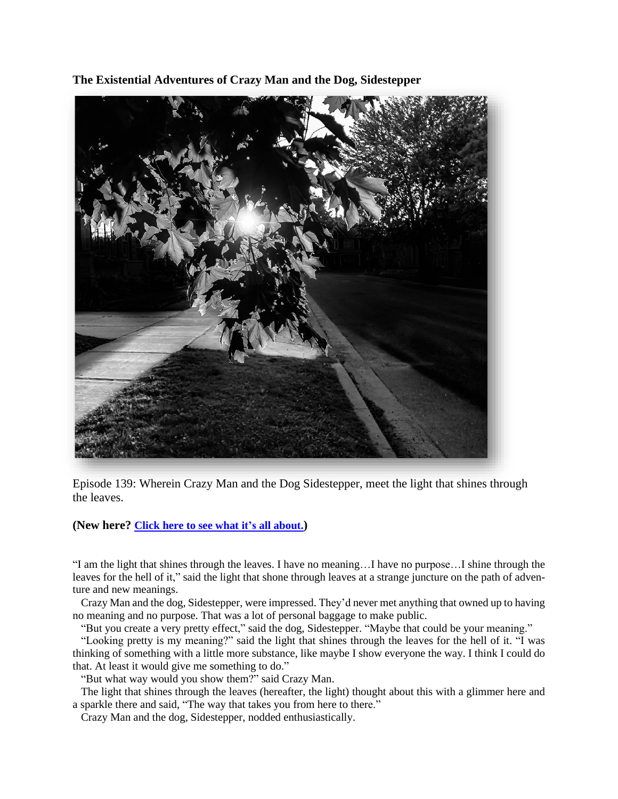**The Existential Adventures of Crazy Man and the Dog, Sidestepper**



Episode 139: Wherein Crazy Man and the Dog Sidestepper, meet the light that shines through the leaves.

## **(New here? Click here to see what it's all [about.](https://biffmitchell.com/crazy-man))**

"I am the light that shines through the leaves. I have no meaning…I have no purpose…I shine through the leaves for the hell of it," said the light that shone through leaves at a strange juncture on the path of adventure and new meanings.

 Crazy Man and the dog, Sidestepper, were impressed. They'd never met anything that owned up to having no meaning and no purpose. That was a lot of personal baggage to make public.

"But you create a very pretty effect," said the dog, Sidestepper. "Maybe that could be your meaning."

 "Looking pretty is my meaning?" said the light that shines through the leaves for the hell of it. "I was thinking of something with a little more substance, like maybe I show everyone the way. I think I could do that. At least it would give me something to do."

"But what way would you show them?" said Crazy Man.

 The light that shines through the leaves (hereafter, the light) thought about this with a glimmer here and a sparkle there and said, "The way that takes you from here to there."

Crazy Man and the dog, Sidestepper, nodded enthusiastically.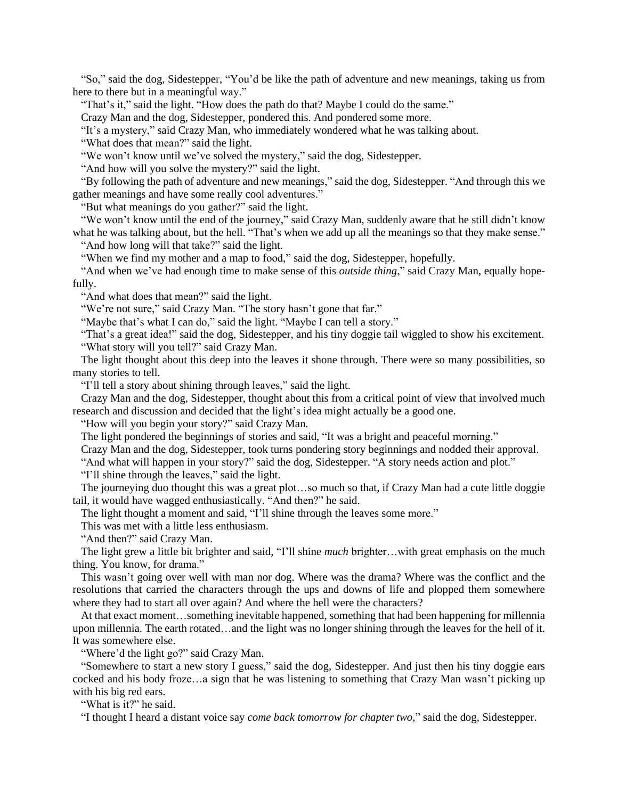"So," said the dog, Sidestepper, "You'd be like the path of adventure and new meanings, taking us from here to there but in a meaningful way."

"That's it," said the light. "How does the path do that? Maybe I could do the same."

Crazy Man and the dog, Sidestepper, pondered this. And pondered some more.

"It's a mystery," said Crazy Man, who immediately wondered what he was talking about.

"What does that mean?" said the light.

"We won't know until we've solved the mystery," said the dog, Sidestepper.

"And how will you solve the mystery?" said the light.

 "By following the path of adventure and new meanings," said the dog, Sidestepper. "And through this we gather meanings and have some really cool adventures."

"But what meanings do you gather?" said the light.

"We won't know until the end of the journey," said Crazy Man, suddenly aware that he still didn't know what he was talking about, but the hell. "That's when we add up all the meanings so that they make sense." "And how long will that take?" said the light.

"When we find my mother and a map to food," said the dog, Sidestepper, hopefully.

 "And when we've had enough time to make sense of this *outside thing*," said Crazy Man, equally hopefully.

"And what does that mean?" said the light.

"We're not sure," said Crazy Man. "The story hasn't gone that far."

"Maybe that's what I can do," said the light. "Maybe I can tell a story."

 "That's a great idea!" said the dog, Sidestepper, and his tiny doggie tail wiggled to show his excitement. "What story will you tell?" said Crazy Man.

 The light thought about this deep into the leaves it shone through. There were so many possibilities, so many stories to tell.

"I'll tell a story about shining through leaves," said the light.

 Crazy Man and the dog, Sidestepper, thought about this from a critical point of view that involved much research and discussion and decided that the light's idea might actually be a good one.

"How will you begin your story?" said Crazy Man.

The light pondered the beginnings of stories and said, "It was a bright and peaceful morning."

Crazy Man and the dog, Sidestepper, took turns pondering story beginnings and nodded their approval.

"And what will happen in your story?" said the dog, Sidestepper. "A story needs action and plot."

"I'll shine through the leaves," said the light.

 The journeying duo thought this was a great plot…so much so that, if Crazy Man had a cute little doggie tail, it would have wagged enthusiastically. "And then?" he said.

The light thought a moment and said, "I'll shine through the leaves some more."

This was met with a little less enthusiasm.

"And then?" said Crazy Man.

 The light grew a little bit brighter and said, "I'll shine *much* brighter…with great emphasis on the much thing. You know, for drama."

 This wasn't going over well with man nor dog. Where was the drama? Where was the conflict and the resolutions that carried the characters through the ups and downs of life and plopped them somewhere where they had to start all over again? And where the hell were the characters?

 At that exact moment…something inevitable happened, something that had been happening for millennia upon millennia. The earth rotated…and the light was no longer shining through the leaves for the hell of it. It was somewhere else.

"Where'd the light go?" said Crazy Man.

 "Somewhere to start a new story I guess," said the dog, Sidestepper. And just then his tiny doggie ears cocked and his body froze…a sign that he was listening to something that Crazy Man wasn't picking up with his big red ears.

"What is it?" he said.

"I thought I heard a distant voice say *come back tomorrow for chapter two*," said the dog, Sidestepper.